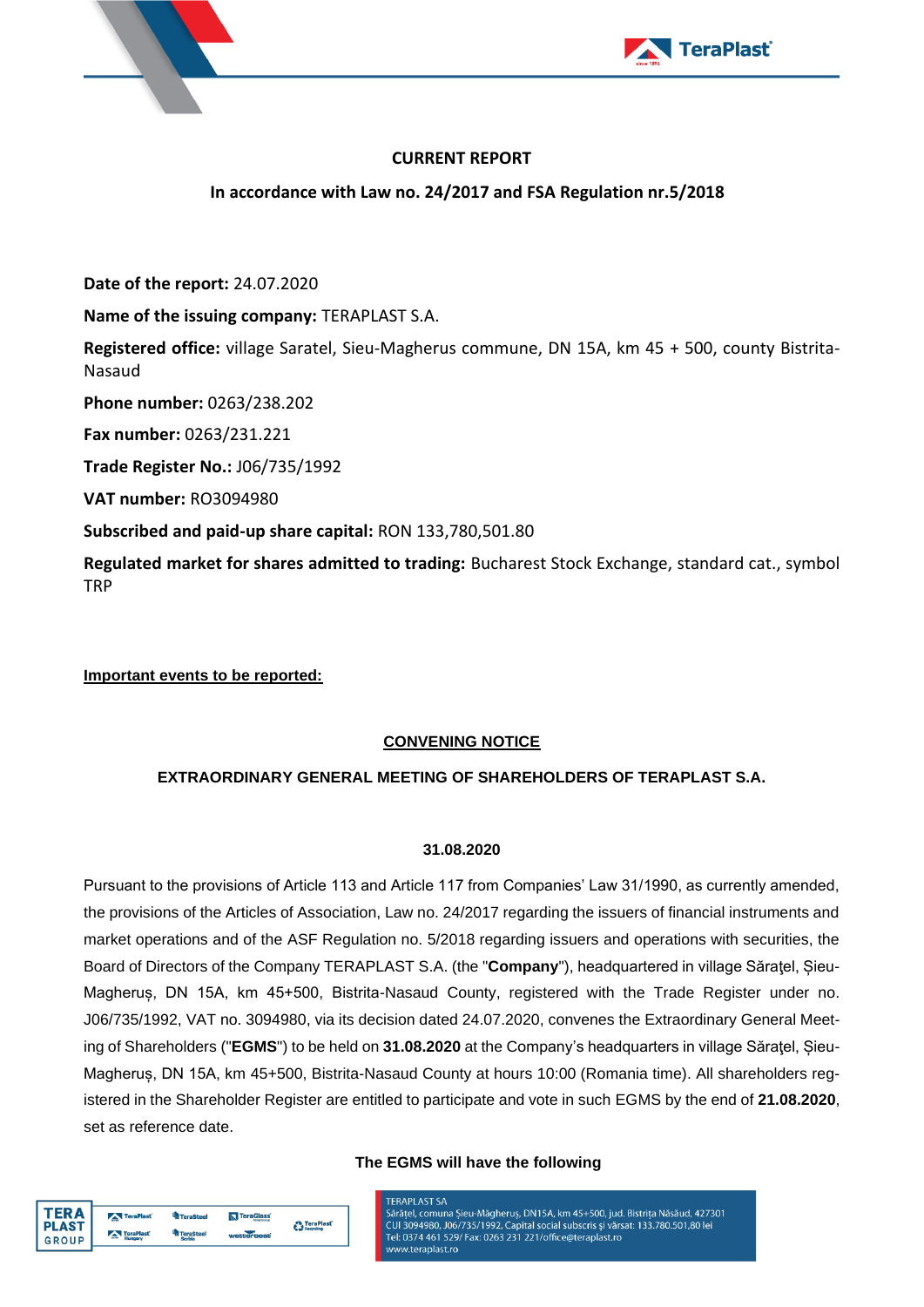



# **CURRENT REPORT**

**In accordance with Law no. 24/2017 and FSA Regulation nr.5/2018**

**Date of the report:** 24.07.2020

**Name of the issuing company:** TERAPLAST S.A.

**Registered office:** village Saratel, Sieu-Magherus commune, DN 15A, km 45 + 500, county Bistrita-Nasaud

**Phone number:** 0263/238.202

**Fax number:** 0263/231.221

**Trade Register No.:** J06/735/1992

**VAT number:** RO3094980

**Subscribed and paid-up share capital:** RON 133,780,501.80

**Regulated market for shares admitted to trading:** Bucharest Stock Exchange, standard cat., symbol TRP

**Important events to be reported:**

**TERA** 

**PLAST** 

**GROUP** 

TeraPlas

TeraPlas

<sup>t</sup>a TeraStee

<sup>th</sup> TeraSte

**N**<br>TeraGlass

<sup>2</sup> TeraPlast<sup>2</sup>

# **CONVENING NOTICE**

# **EXTRAORDINARY GENERAL MEETING OF SHAREHOLDERS OF TERAPLAST S.A.**

### **31.08.2020**

Pursuant to the provisions of Article 113 and Article 117 from Companies' Law 31/1990, as currently amended, the provisions of the Articles of Association, Law no. 24/2017 regarding the issuers of financial instruments and market operations and of the ASF Regulation no. 5/2018 regarding issuers and operations with securities, the Board of Directors of the Company TERAPLAST S.A. (the "**Company**"), headquartered in village Săratel, Sieu-Magheruș, DN 15A, km 45+500, Bistrita-Nasaud County, registered with the Trade Register under no. J06/735/1992, VAT no. 3094980, via its decision dated 24.07.2020, convenes the Extraordinary General Meeting of Shareholders ("**EGMS**") to be held on **31.08.2020** at the Company's headquarters in village Săraţel, Șieu-Magheruș, DN 15A, km 45+500, Bistrita-Nasaud County at hours 10:00 (Romania time). All shareholders registered in the Shareholder Register are entitled to participate and vote in such EGMS by the end of **21.08.2020**, set as reference date.

### **The EGMS will have the following**

**TERAPI AST SA** CUI 3094980, J06/735/1992, Capital social subscris și vărsat: 133.780.501,80 lei Tel: 0374 461 529/ Fax: 0263 231 221/office@teraplast.ro www.teraplast.ro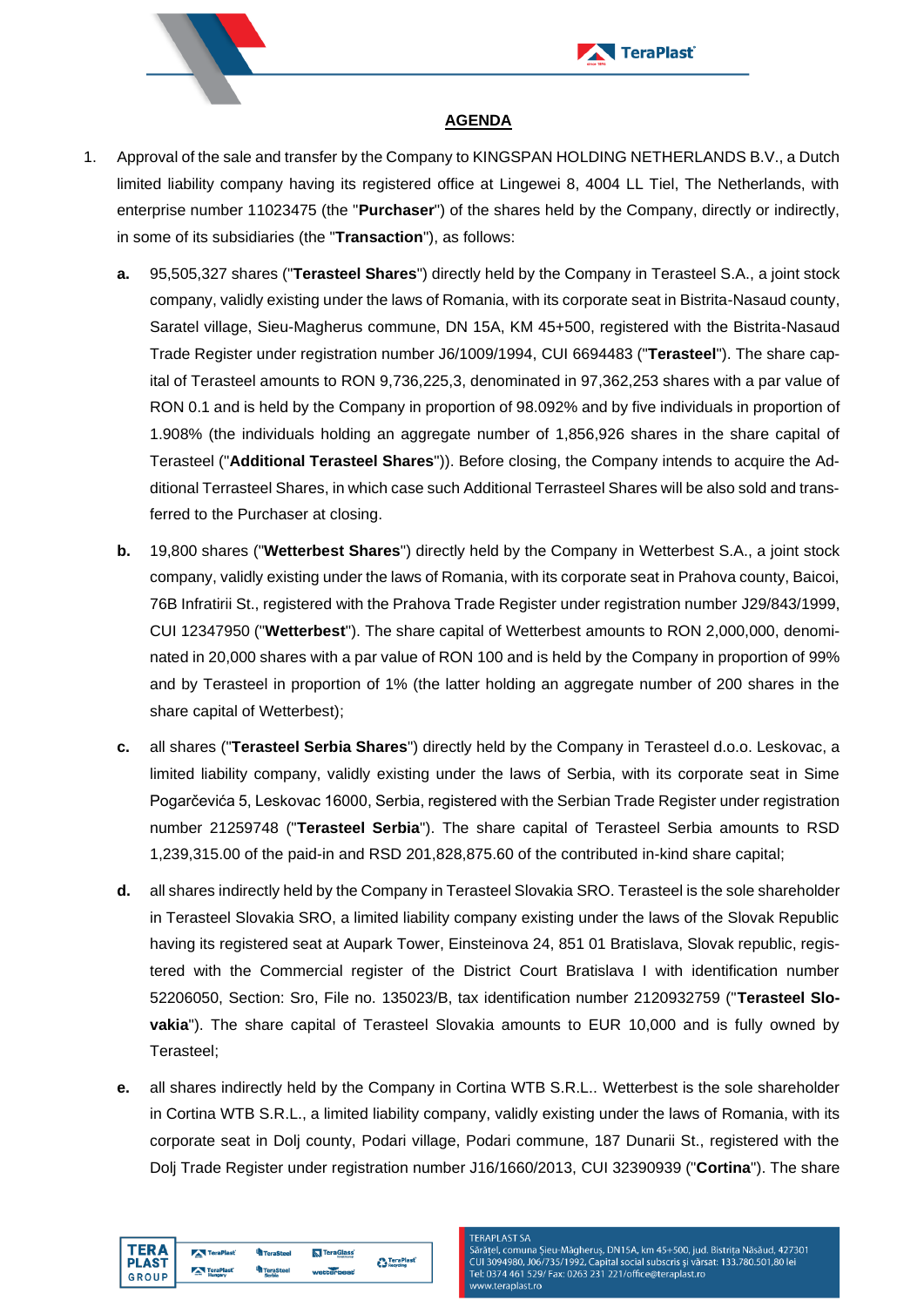



## **AGENDA**

- 1. Approval of the sale and transfer by the Company to KINGSPAN HOLDING NETHERLANDS B.V., a Dutch limited liability company having its registered office at Lingewei 8, 4004 LL Tiel, The Netherlands, with enterprise number 11023475 (the "**Purchaser**") of the shares held by the Company, directly or indirectly, in some of its subsidiaries (the "**Transaction**"), as follows:
	- **a.** 95,505,327 shares ("**Terasteel Shares**") directly held by the Company in Terasteel S.A., a joint stock company, validly existing under the laws of Romania, with its corporate seat in Bistrita-Nasaud county, Saratel village, Sieu-Magherus commune, DN 15A, KM 45+500, registered with the Bistrita-Nasaud Trade Register under registration number J6/1009/1994, CUI 6694483 ("**Terasteel**"). The share capital of Terasteel amounts to RON 9,736,225,3, denominated in 97,362,253 shares with a par value of RON 0.1 and is held by the Company in proportion of 98.092% and by five individuals in proportion of 1.908% (the individuals holding an aggregate number of 1,856,926 shares in the share capital of Terasteel ("**Additional Terasteel Shares**")). Before closing, the Company intends to acquire the Additional Terrasteel Shares, in which case such Additional Terrasteel Shares will be also sold and transferred to the Purchaser at closing.
	- **b.** 19,800 shares ("**Wetterbest Shares**") directly held by the Company in Wetterbest S.A., a joint stock company, validly existing under the laws of Romania, with its corporate seat in Prahova county, Baicoi, 76B Infratirii St., registered with the Prahova Trade Register under registration number J29/843/1999, CUI 12347950 ("**Wetterbest**"). The share capital of Wetterbest amounts to RON 2,000,000, denominated in 20,000 shares with a par value of RON 100 and is held by the Company in proportion of 99% and by Terasteel in proportion of 1% (the latter holding an aggregate number of 200 shares in the share capital of Wetterbest);
	- **c.** all shares ("**Terasteel Serbia Shares**") directly held by the Company in Terasteel d.o.o. Leskovac, a limited liability company, validly existing under the laws of Serbia, with its corporate seat in Sime Pogarčevića 5, Leskovac 16000, Serbia, registered with the Serbian Trade Register under registration number 21259748 ("**Terasteel Serbia**"). The share capital of Terasteel Serbia amounts to RSD 1,239,315.00 of the paid-in and RSD 201,828,875.60 of the contributed in-kind share capital;
	- **d.** all shares indirectly held by the Company in Terasteel Slovakia SRO. Terasteel is the sole shareholder in Terasteel Slovakia SRO, a limited liability company existing under the laws of the Slovak Republic having its registered seat at Aupark Tower, Einsteinova 24, 851 01 Bratislava, Slovak republic, registered with the Commercial register of the District Court Bratislava I with identification number 52206050, Section: Sro, File no. 135023/B, tax identification number 2120932759 ("**Terasteel Slovakia**"). The share capital of Terasteel Slovakia amounts to EUR 10,000 and is fully owned by Terasteel;
	- **e.** all shares indirectly held by the Company in Cortina WTB S.R.L.. Wetterbest is the sole shareholder in Cortina WTB S.R.L., a limited liability company, validly existing under the laws of Romania, with its corporate seat in Dolj county, Podari village, Podari commune, 187 Dunarii St., registered with the Dolj Trade Register under registration number J16/1660/2013, CUI 32390939 ("**Cortina**"). The share



### **TERAPI AST SA**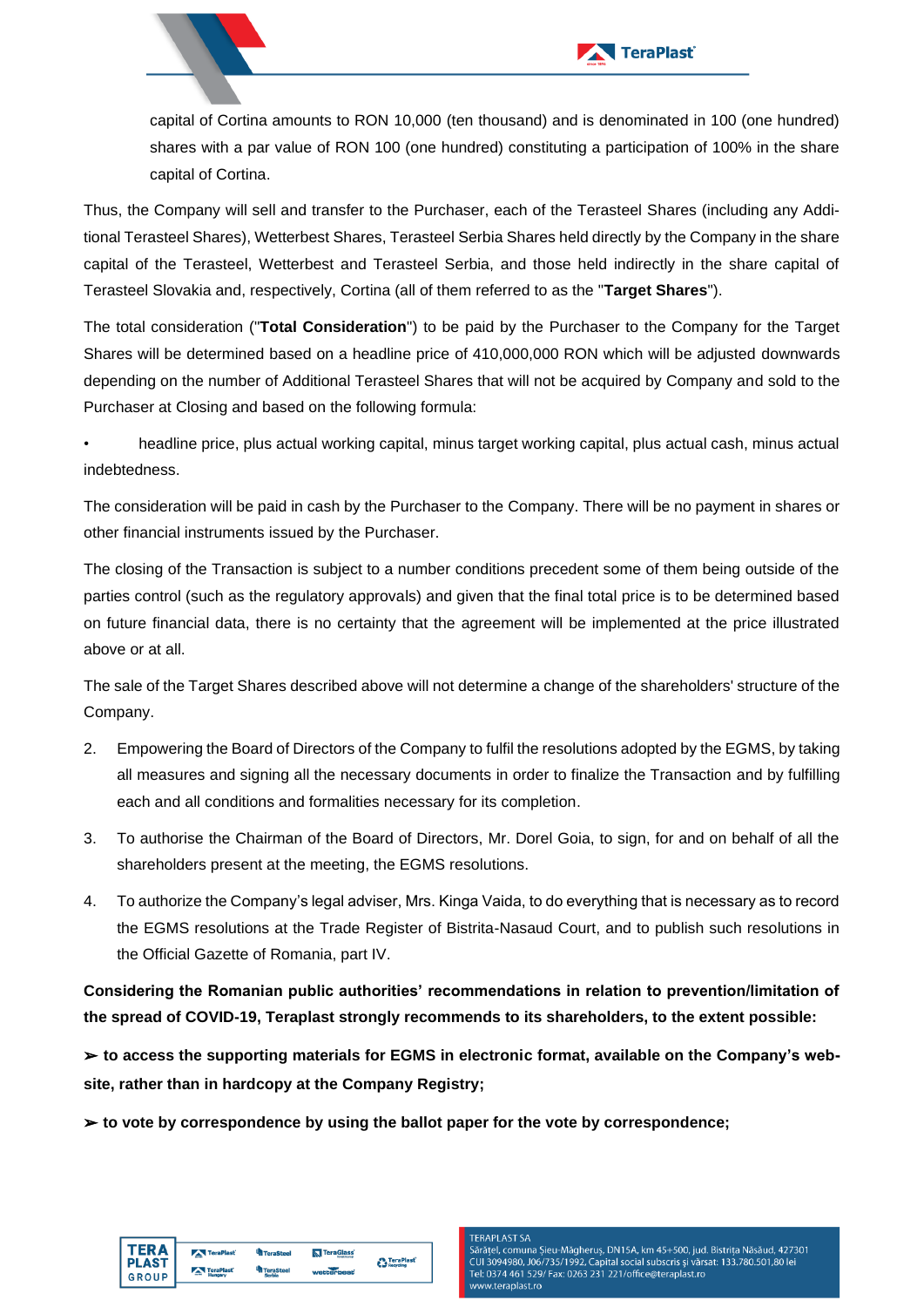

capital of Cortina amounts to RON 10,000 (ten thousand) and is denominated in 100 (one hundred) shares with a par value of RON 100 (one hundred) constituting a participation of 100% in the share capital of Cortina.

Thus, the Company will sell and transfer to the Purchaser, each of the Terasteel Shares (including any Additional Terasteel Shares), Wetterbest Shares, Terasteel Serbia Shares held directly by the Company in the share capital of the Terasteel, Wetterbest and Terasteel Serbia, and those held indirectly in the share capital of Terasteel Slovakia and, respectively, Cortina (all of them referred to as the "**Target Shares**").

The total consideration ("**Total Consideration**") to be paid by the Purchaser to the Company for the Target Shares will be determined based on a headline price of 410,000,000 RON which will be adjusted downwards depending on the number of Additional Terasteel Shares that will not be acquired by Company and sold to the Purchaser at Closing and based on the following formula:

• headline price, plus actual working capital, minus target working capital, plus actual cash, minus actual indebtedness.

The consideration will be paid in cash by the Purchaser to the Company. There will be no payment in shares or other financial instruments issued by the Purchaser.

The closing of the Transaction is subject to a number conditions precedent some of them being outside of the parties control (such as the regulatory approvals) and given that the final total price is to be determined based on future financial data, there is no certainty that the agreement will be implemented at the price illustrated above or at all.

The sale of the Target Shares described above will not determine a change of the shareholders' structure of the Company.

- 2. Empowering the Board of Directors of the Company to fulfil the resolutions adopted by the EGMS, by taking all measures and signing all the necessary documents in order to finalize the Transaction and by fulfilling each and all conditions and formalities necessary for its completion.
- 3. To authorise the Chairman of the Board of Directors, Mr. Dorel Goia, to sign, for and on behalf of all the shareholders present at the meeting, the EGMS resolutions.
- 4. To authorize the Company's legal adviser, Mrs. Kinga Vaida, to do everything that is necessary as to record the EGMS resolutions at the Trade Register of Bistrita-Nasaud Court, and to publish such resolutions in the Official Gazette of Romania, part IV.

**Considering the Romanian public authorities' recommendations in relation to prevention/limitation of the spread of COVID-19, Teraplast strongly recommends to its shareholders, to the extent possible:** 

➢ **to access the supporting materials for EGMS in electronic format, available on the Company's website, rather than in hardcopy at the Company Registry;** 

➢ **to vote by correspondence by using the ballot paper for the vote by correspondence;** 



#### **TERAPI AST SA**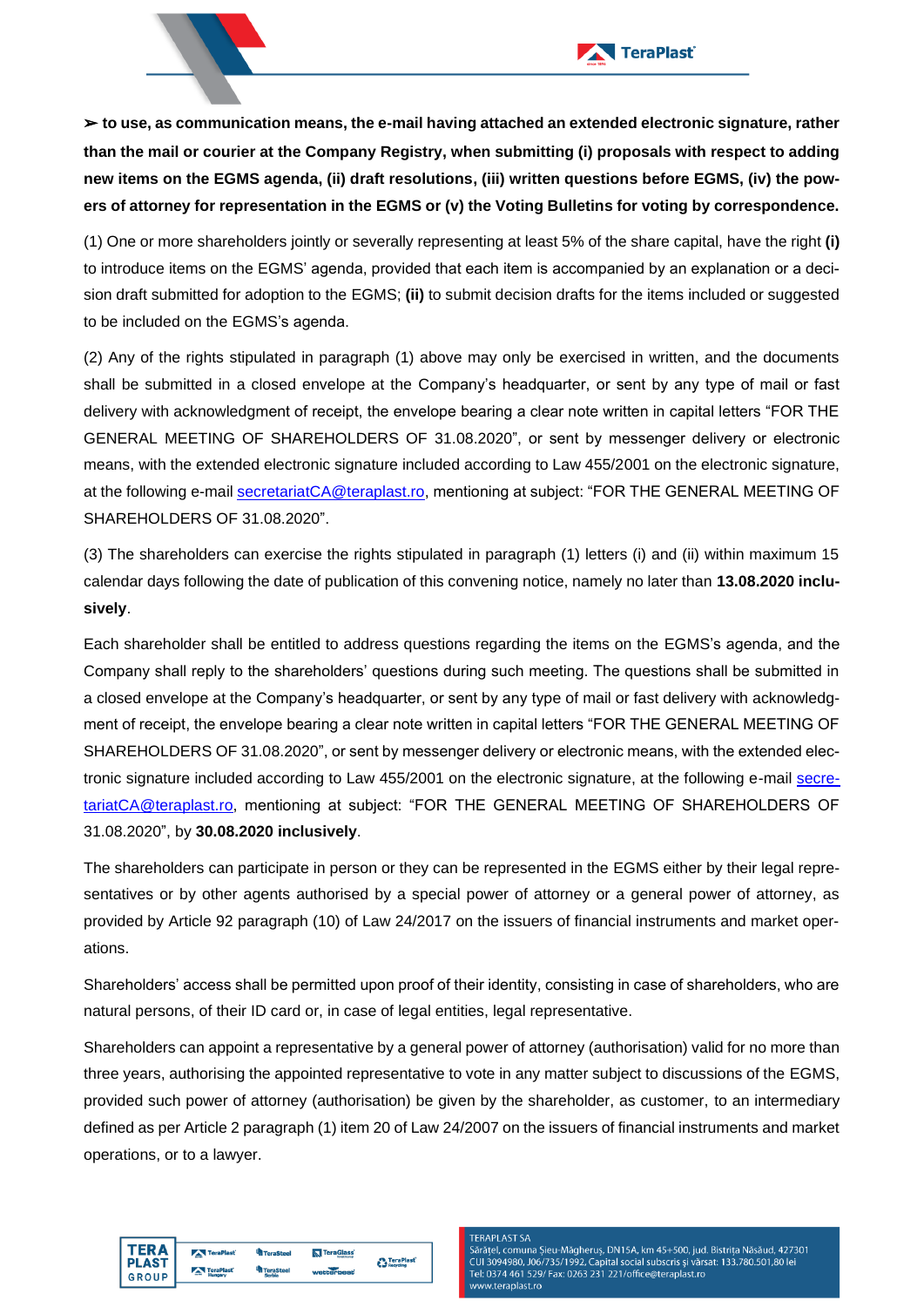

➢ **to use, as communication means, the e-mail having attached an extended electronic signature, rather than the mail or courier at the Company Registry, when submitting (i) proposals with respect to adding new items on the EGMS agenda, (ii) draft resolutions, (iii) written questions before EGMS, (iv) the powers of attorney for representation in the EGMS or (v) the Voting Bulletins for voting by correspondence.**

(1) One or more shareholders jointly or severally representing at least 5% of the share capital, have the right **(i)** to introduce items on the EGMS' agenda, provided that each item is accompanied by an explanation or a decision draft submitted for adoption to the EGMS; **(ii)** to submit decision drafts for the items included or suggested to be included on the EGMS's agenda.

(2) Any of the rights stipulated in paragraph (1) above may only be exercised in written, and the documents shall be submitted in a closed envelope at the Company's headquarter, or sent by any type of mail or fast delivery with acknowledgment of receipt, the envelope bearing a clear note written in capital letters "FOR THE GENERAL MEETING OF SHAREHOLDERS OF 31.08.2020", or sent by messenger delivery or electronic means, with the extended electronic signature included according to Law 455/2001 on the electronic signature, at the following e-mail [secretariatCA@teraplast.ro,](mailto:secretariatCA@teraplast.ro) mentioning at subject: "FOR THE GENERAL MEETING OF SHAREHOLDERS OF 31.08.2020".

(3) The shareholders can exercise the rights stipulated in paragraph (1) letters (i) and (ii) within maximum 15 calendar days following the date of publication of this convening notice, namely no later than **13.08.2020 inclusively**.

Each shareholder shall be entitled to address questions regarding the items on the EGMS's agenda, and the Company shall reply to the shareholders' questions during such meeting. The questions shall be submitted in a closed envelope at the Company's headquarter, or sent by any type of mail or fast delivery with acknowledgment of receipt, the envelope bearing a clear note written in capital letters "FOR THE GENERAL MEETING OF SHAREHOLDERS OF 31.08.2020", or sent by messenger delivery or electronic means, with the extended electronic signature included according to Law 455/2001 on the electronic signature, at the following e-mail [secre](mailto:secretariatCA@teraplast.ro)[tariatCA@teraplast.ro,](mailto:secretariatCA@teraplast.ro) mentioning at subject: "FOR THE GENERAL MEETING OF SHAREHOLDERS OF 31.08.2020", by **30.08.2020 inclusively**.

The shareholders can participate in person or they can be represented in the EGMS either by their legal representatives or by other agents authorised by a special power of attorney or a general power of attorney, as provided by Article 92 paragraph (10) of Law 24/2017 on the issuers of financial instruments and market operations.

Shareholders' access shall be permitted upon proof of their identity, consisting in case of shareholders, who are natural persons, of their ID card or, in case of legal entities, legal representative.

Shareholders can appoint a representative by a general power of attorney (authorisation) valid for no more than three years, authorising the appointed representative to vote in any matter subject to discussions of the EGMS, provided such power of attorney (authorisation) be given by the shareholder, as customer, to an intermediary defined as per Article 2 paragraph (1) item 20 of Law 24/2007 on the issuers of financial instruments and market operations, or to a lawyer.





Ф.

<sup>th</sup> Teras

**TERAPI AST SA**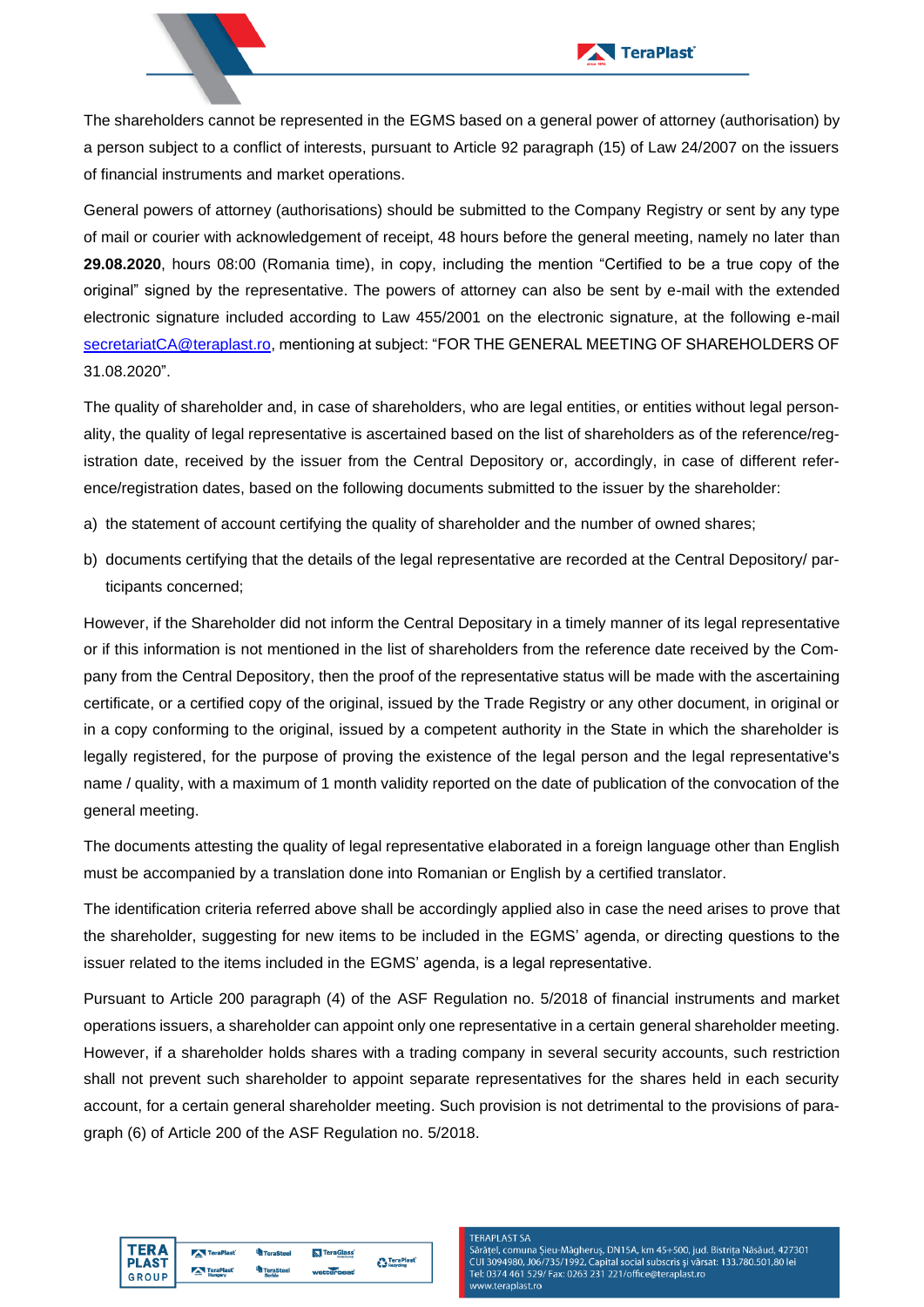

The shareholders cannot be represented in the EGMS based on a general power of attorney (authorisation) by a person subject to a conflict of interests, pursuant to Article 92 paragraph (15) of Law 24/2007 on the issuers of financial instruments and market operations.

General powers of attorney (authorisations) should be submitted to the Company Registry or sent by any type of mail or courier with acknowledgement of receipt, 48 hours before the general meeting, namely no later than **29.08.2020**, hours 08:00 (Romania time), in copy, including the mention "Certified to be a true copy of the original" signed by the representative. The powers of attorney can also be sent by e-mail with the extended electronic signature included according to Law 455/2001 on the electronic signature, at the following e-mail [secretariatCA@teraplast.ro,](mailto:secretariatCA@teraplast.ro) mentioning at subject: "FOR THE GENERAL MEETING OF SHAREHOLDERS OF 31.08.2020".

The quality of shareholder and, in case of shareholders, who are legal entities, or entities without legal personality, the quality of legal representative is ascertained based on the list of shareholders as of the reference/registration date, received by the issuer from the Central Depository or, accordingly, in case of different reference/registration dates, based on the following documents submitted to the issuer by the shareholder:

- a) the statement of account certifying the quality of shareholder and the number of owned shares;
- b) documents certifying that the details of the legal representative are recorded at the Central Depository/ participants concerned;

However, if the Shareholder did not inform the Central Depositary in a timely manner of its legal representative or if this information is not mentioned in the list of shareholders from the reference date received by the Company from the Central Depository, then the proof of the representative status will be made with the ascertaining certificate, or a certified copy of the original, issued by the Trade Registry or any other document, in original or in a copy conforming to the original, issued by a competent authority in the State in which the shareholder is legally registered, for the purpose of proving the existence of the legal person and the legal representative's name / quality, with a maximum of 1 month validity reported on the date of publication of the convocation of the general meeting.

The documents attesting the quality of legal representative elaborated in a foreign language other than English must be accompanied by a translation done into Romanian or English by a certified translator.

The identification criteria referred above shall be accordingly applied also in case the need arises to prove that the shareholder, suggesting for new items to be included in the EGMS' agenda, or directing questions to the issuer related to the items included in the EGMS' agenda, is a legal representative.

Pursuant to Article 200 paragraph (4) of the ASF Regulation no. 5/2018 of financial instruments and market operations issuers, a shareholder can appoint only one representative in a certain general shareholder meeting. However, if a shareholder holds shares with a trading company in several security accounts, such restriction shall not prevent such shareholder to appoint separate representatives for the shares held in each security account, for a certain general shareholder meeting. Such provision is not detrimental to the provisions of paragraph (6) of Article 200 of the ASF Regulation no. 5/2018.



### **TERAPI AST SA**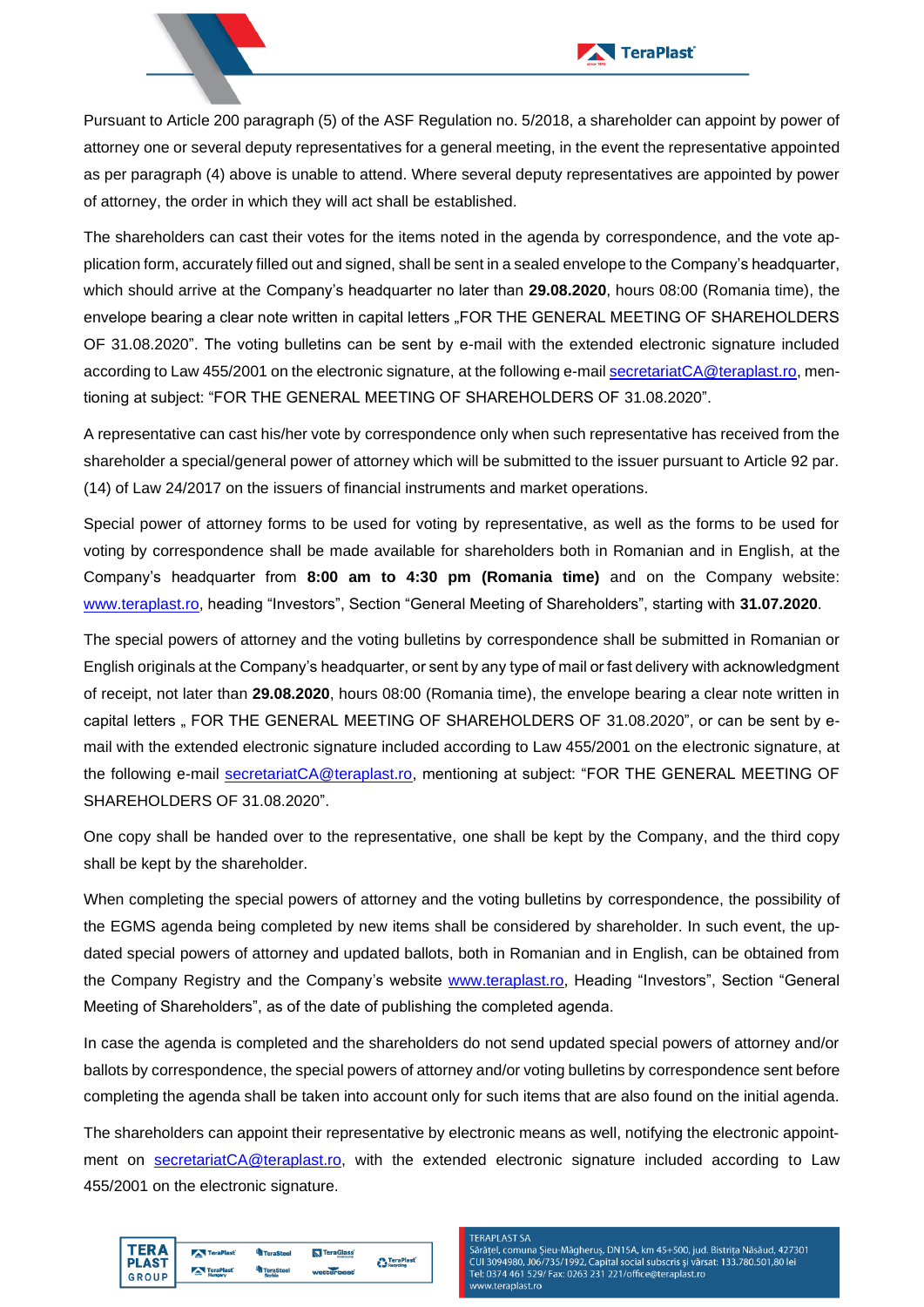



The shareholders can cast their votes for the items noted in the agenda by correspondence, and the vote application form, accurately filled out and signed, shall be sent in a sealed envelope to the Company's headquarter, which should arrive at the Company's headquarter no later than **29.08.2020**, hours 08:00 (Romania time), the envelope bearing a clear note written in capital letters "FOR THE GENERAL MEETING OF SHAREHOLDERS OF 31.08.2020". The voting bulletins can be sent by e-mail with the extended electronic signature included according to Law 455/2001 on the electronic signature, at the following e-mai[l secretariatCA@teraplast.ro,](mailto:secretariatCA@teraplast.ro) mentioning at subject: "FOR THE GENERAL MEETING OF SHAREHOLDERS OF 31.08.2020".

A representative can cast his/her vote by correspondence only when such representative has received from the shareholder a special/general power of attorney which will be submitted to the issuer pursuant to Article 92 par. (14) of Law 24/2017 on the issuers of financial instruments and market operations.

Special power of attorney forms to be used for voting by representative, as well as the forms to be used for voting by correspondence shall be made available for shareholders both in Romanian and in English, at the Company's headquarter from **8:00 am to 4:30 pm (Romania time)** and on the Company website: [www.teraplast.ro,](http://www.teraplast.ro/) heading "Investors", Section "General Meeting of Shareholders", starting with **31.07.2020**.

The special powers of attorney and the voting bulletins by correspondence shall be submitted in Romanian or English originals at the Company's headquarter, or sent by any type of mail or fast delivery with acknowledgment of receipt, not later than **29.08.2020**, hours 08:00 (Romania time), the envelope bearing a clear note written in capital letters " FOR THE GENERAL MEETING OF SHAREHOLDERS OF 31.08.2020", or can be sent by email with the extended electronic signature included according to Law 455/2001 on the electronic signature, at the following e-mail [secretariatCA@teraplast.ro,](mailto:secretariatCA@teraplast.ro) mentioning at subject: "FOR THE GENERAL MEETING OF SHAREHOLDERS OF 31.08.2020".

One copy shall be handed over to the representative, one shall be kept by the Company, and the third copy shall be kept by the shareholder.

When completing the special powers of attorney and the voting bulletins by correspondence, the possibility of the EGMS agenda being completed by new items shall be considered by shareholder. In such event, the updated special powers of attorney and updated ballots, both in Romanian and in English, can be obtained from the Company Registry and the Company's website [www.teraplast.ro,](http://www.teraplast.ro/) Heading "Investors", Section "General Meeting of Shareholders", as of the date of publishing the completed agenda.

In case the agenda is completed and the shareholders do not send updated special powers of attorney and/or ballots by correspondence, the special powers of attorney and/or voting bulletins by correspondence sent before completing the agenda shall be taken into account only for such items that are also found on the initial agenda.

The shareholders can appoint their representative by electronic means as well, notifying the electronic appointment on [secretariatCA@teraplast.ro,](mailto:secretariatCA@teraplast.ro) with the extended electronic signature included according to Law 455/2001 on the electronic signature.



### **TERAPI AST SA**